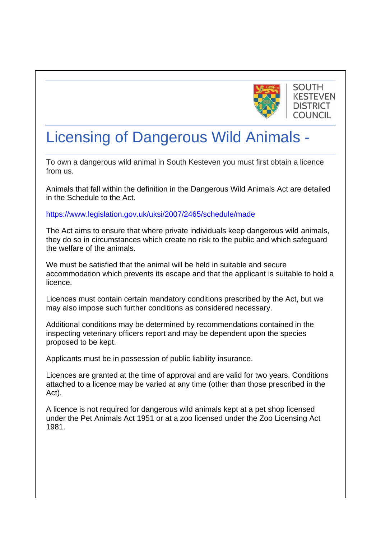

## **SOUTH KESTEVEN DISTRICT COUNCIL**

# Licensing of Dangerous Wild Animals -

To own a dangerous wild animal in South Kesteven you must first obtain a licence from us.

Animals that fall within the definition in the Dangerous Wild Animals Act are detailed in the Schedule to the Act.

<https://www.legislation.gov.uk/uksi/2007/2465/schedule/made>

The Act aims to ensure that where private individuals keep dangerous wild animals, they do so in circumstances which create no risk to the public and which safeguard the welfare of the animals.

We must be satisfied that the animal will be held in suitable and secure accommodation which prevents its escape and that the applicant is suitable to hold a licence.

Licences must contain certain mandatory conditions prescribed by the Act, but we may also impose such further conditions as considered necessary.

Additional conditions may be determined by recommendations contained in the inspecting veterinary officers report and may be dependent upon the species proposed to be kept.

Applicants must be in possession of public liability insurance.

Licences are granted at the time of approval and are valid for two years. Conditions attached to a licence may be varied at any time (other than those prescribed in the Act).

A licence is not required for dangerous wild animals kept at a pet shop licensed under the Pet Animals Act 1951 or at a zoo licensed under the Zoo Licensing Act 1981.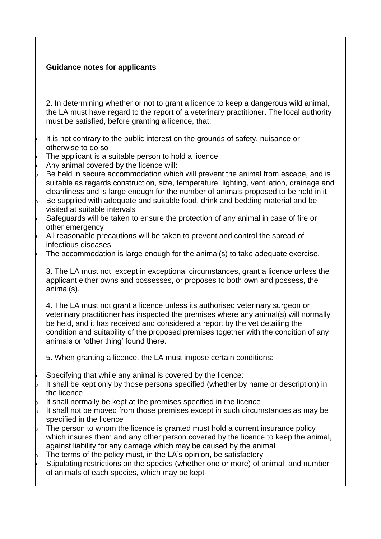### **Guidance notes for applicants**

2. In determining whether or not to grant a licence to keep a dangerous wild animal, the LA must have regard to the report of a veterinary practitioner. The local authority must be satisfied, before granting a licence, that:

- It is not contrary to the public interest on the grounds of safety, nuisance or otherwise to do so
- The applicant is a suitable person to hold a licence
- Any animal covered by the licence will:
- Be held in secure accommodation which will prevent the animal from escape, and is suitable as regards construction, size, temperature, lighting, ventilation, drainage and cleanliness and is large enough for the number of animals proposed to be held in it
- Be supplied with adequate and suitable food, drink and bedding material and be visited at suitable intervals
- Safeguards will be taken to ensure the protection of any animal in case of fire or other emergency
- All reasonable precautions will be taken to prevent and control the spread of infectious diseases
- The accommodation is large enough for the animal(s) to take adequate exercise.

3. The LA must not, except in exceptional circumstances, grant a licence unless the applicant either owns and possesses, or proposes to both own and possess, the animal(s).

4. The LA must not grant a licence unless its authorised veterinary surgeon or veterinary practitioner has inspected the premises where any animal(s) will normally be held, and it has received and considered a report by the vet detailing the condition and suitability of the proposed premises together with the condition of any animals or 'other thing' found there.

5. When granting a licence, the LA must impose certain conditions:

- Specifying that while any animal is covered by the licence:
- It shall be kept only by those persons specified (whether by name or description) in the licence
- It shall normally be kept at the premises specified in the licence
- It shall not be moved from those premises except in such circumstances as may be specified in the licence
- The person to whom the licence is granted must hold a current insurance policy which insures them and any other person covered by the licence to keep the animal, against liability for any damage which may be caused by the animal
- The terms of the policy must, in the LA's opinion, be satisfactory
- Stipulating restrictions on the species (whether one or more) of animal, and number of animals of each species, which may be kept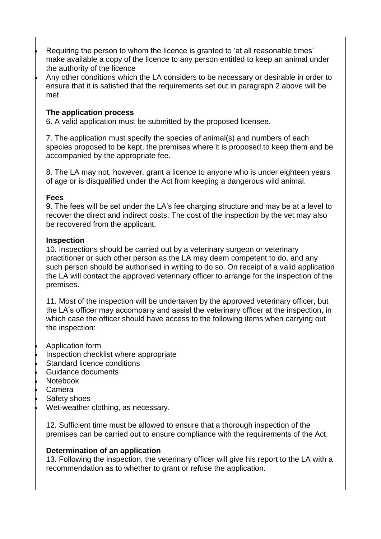- Requiring the person to whom the licence is granted to 'at all reasonable times' make available a copy of the licence to any person entitled to keep an animal under the authority of the licence
- Any other conditions which the LA considers to be necessary or desirable in order to ensure that it is satisfied that the requirements set out in paragraph 2 above will be met

#### **The application process**

6. A valid application must be submitted by the proposed licensee.

7. The application must specify the species of animal(s) and numbers of each species proposed to be kept, the premises where it is proposed to keep them and be accompanied by the appropriate fee.

8. The LA may not, however, grant a licence to anyone who is under eighteen years of age or is disqualified under the Act from keeping a dangerous wild animal.

#### **Fees**

9. The fees will be set under the LA's fee charging structure and may be at a level to recover the direct and indirect costs. The cost of the inspection by the vet may also be recovered from the applicant.

#### **Inspection**

10. Inspections should be carried out by a veterinary surgeon or veterinary practitioner or such other person as the LA may deem competent to do, and any such person should be authorised in writing to do so. On receipt of a valid application the LA will contact the approved veterinary officer to arrange for the inspection of the premises.

11. Most of the inspection will be undertaken by the approved veterinary officer, but the LA's officer may accompany and assist the veterinary officer at the inspection, in which case the officer should have access to the following items when carrying out the inspection:

- Application form
- Inspection checklist where appropriate
- Standard licence conditions
- Guidance documents
- Notebook
- Camera
- Safety shoes
- Wet-weather clothing, as necessary.

12. Sufficient time must be allowed to ensure that a thorough inspection of the premises can be carried out to ensure compliance with the requirements of the Act.

#### **Determination of an application**

13. Following the inspection, the veterinary officer will give his report to the LA with a recommendation as to whether to grant or refuse the application.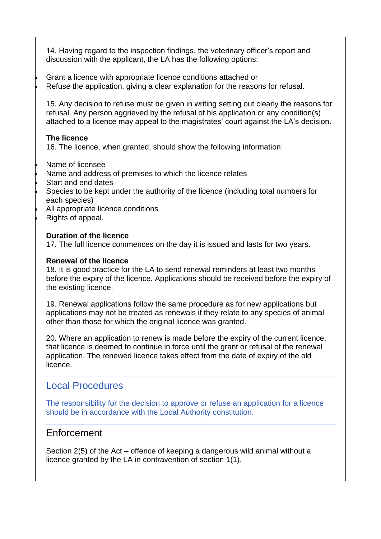14. Having regard to the inspection findings, the veterinary officer's report and discussion with the applicant, the LA has the following options:

- Grant a licence with appropriate licence conditions attached or
- Refuse the application, giving a clear explanation for the reasons for refusal.

15. Any decision to refuse must be given in writing setting out clearly the reasons for refusal. Any person aggrieved by the refusal of his application or any condition(s) attached to a licence may appeal to the magistrates' court against the LA's decision.

#### **The licence**

16. The licence, when granted, should show the following information:

- Name of licensee
- Name and address of premises to which the licence relates
- Start and end dates
- Species to be kept under the authority of the licence (including total numbers for each species)
- All appropriate licence conditions
- Rights of appeal.

#### **Duration of the licence**

17. The full licence commences on the day it is issued and lasts for two years.

#### **Renewal of the licence**

18. It is good practice for the LA to send renewal reminders at least two months before the expiry of the licence. Applications should be received before the expiry of the existing licence.

19. Renewal applications follow the same procedure as for new applications but applications may not be treated as renewals if they relate to any species of animal other than those for which the original licence was granted.

20. Where an application to renew is made before the expiry of the current licence, that licence is deemed to continue in force until the grant or refusal of the renewal application. The renewed licence takes effect from the date of expiry of the old licence.

## Local Procedures

The responsibility for the decision to approve or refuse an application for a licence should be in accordance with the Local Authority constitution.

## Enforcement

Section 2(5) of the Act – offence of keeping a dangerous wild animal without a licence granted by the LA in contravention of section 1(1).